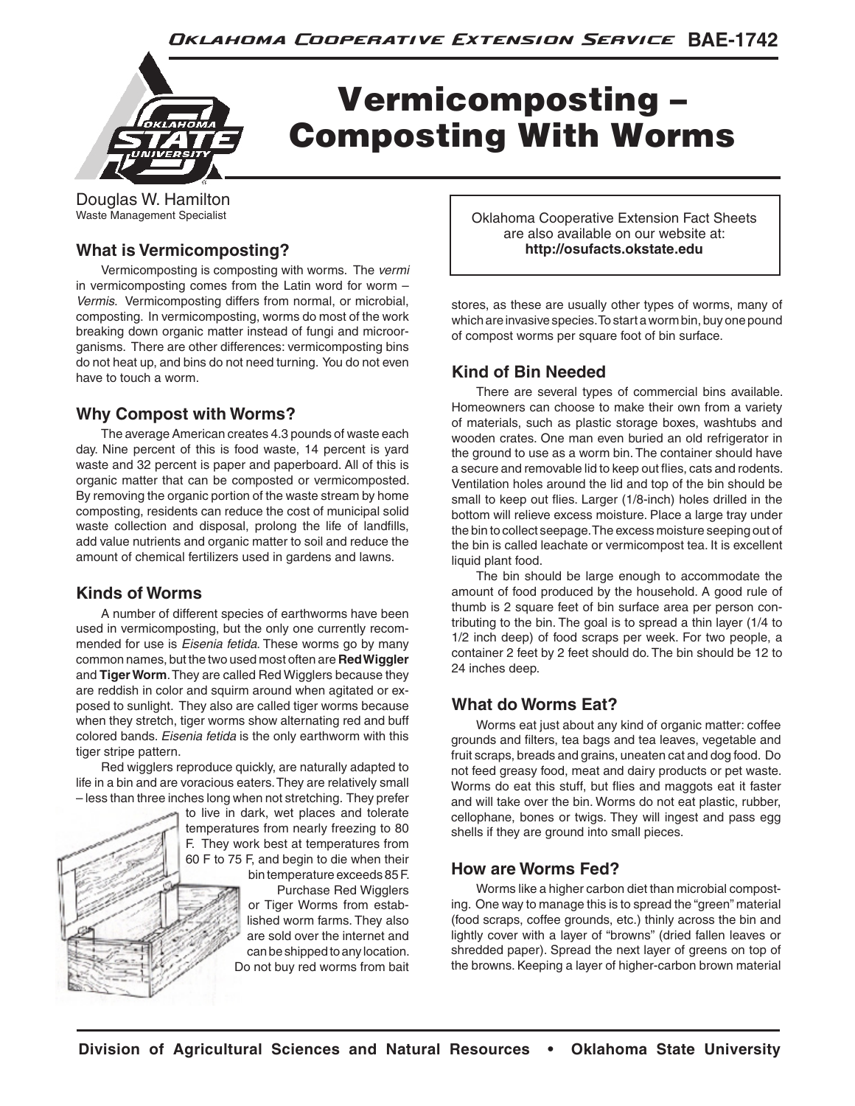

# Vermicomposting – Composting With Worms

Douglas W. Hamilton Waste Management Specialist

#### **What is Vermicomposting?**

 Vermicomposting is composting with worms. The *vermi* in vermicomposting comes from the Latin word for worm – *Vermis*. Vermicomposting differs from normal, or microbial, composting. In vermicomposting, worms do most of the work breaking down organic matter instead of fungi and microorganisms. There are other differences: vermicomposting bins do not heat up, and bins do not need turning. You do not even have to touch a worm.

#### **Why Compost with Worms?**

 The average American creates 4.3 pounds of waste each day. Nine percent of this is food waste, 14 percent is yard waste and 32 percent is paper and paperboard. All of this is organic matter that can be composted or vermicomposted. By removing the organic portion of the waste stream by home composting, residents can reduce the cost of municipal solid waste collection and disposal, prolong the life of landfills, add value nutrients and organic matter to soil and reduce the amount of chemical fertilizers used in gardens and lawns.

## **Kinds of Worms**

 A number of different species of earthworms have been used in vermicomposting, but the only one currently recommended for use is *Eisenia fetida*. These worms go by many common names, but the two used most often are **Red Wiggler** and **Tiger Worm**. They are called Red Wigglers because they are reddish in color and squirm around when agitated or exposed to sunlight. They also are called tiger worms because when they stretch, tiger worms show alternating red and buff colored bands. *Eisenia fetida* is the only earthworm with this tiger stripe pattern.

 Red wigglers reproduce quickly, are naturally adapted to life in a bin and are voracious eaters. They are relatively small – less than three inches long when not stretching. They prefer

> to live in dark, wet places and tolerate temperatures from nearly freezing to 80 F. They work best at temperatures from 60 F to 75 F, and begin to die when their bin temperature exceeds 85 F.

 Purchase Red Wigglers or Tiger Worms from established worm farms. They also are sold over the internet and can be shipped to any location. Do not buy red worms from bait Oklahoma Cooperative Extension Fact Sheets are also available on our website at: **http://osufacts.okstate.edu**

stores, as these are usually other types of worms, many of which are invasive species. To start a worm bin, buy one pound of compost worms per square foot of bin surface.

#### **Kind of Bin Needed**

 There are several types of commercial bins available. Homeowners can choose to make their own from a variety of materials, such as plastic storage boxes, washtubs and wooden crates. One man even buried an old refrigerator in the ground to use as a worm bin. The container should have a secure and removable lid to keep out flies, cats and rodents. Ventilation holes around the lid and top of the bin should be small to keep out flies. Larger (1/8-inch) holes drilled in the bottom will relieve excess moisture. Place a large tray under the bin to collect seepage. The excess moisture seeping out of the bin is called leachate or vermicompost tea. It is excellent liquid plant food.

 The bin should be large enough to accommodate the amount of food produced by the household. A good rule of thumb is 2 square feet of bin surface area per person contributing to the bin. The goal is to spread a thin layer (1/4 to 1/2 inch deep) of food scraps per week. For two people, a container 2 feet by 2 feet should do. The bin should be 12 to 24 inches deep.

## **What do Worms Eat?**

 Worms eat just about any kind of organic matter: coffee grounds and filters, tea bags and tea leaves, vegetable and fruit scraps, breads and grains, uneaten cat and dog food. Do not feed greasy food, meat and dairy products or pet waste. Worms do eat this stuff, but flies and maggots eat it faster and will take over the bin. Worms do not eat plastic, rubber, cellophane, bones or twigs. They will ingest and pass egg shells if they are ground into small pieces.

#### **How are Worms Fed?**

 Worms like a higher carbon diet than microbial composting. One way to manage this is to spread the "green" material (food scraps, coffee grounds, etc.) thinly across the bin and lightly cover with a layer of "browns" (dried fallen leaves or shredded paper). Spread the next layer of greens on top of the browns. Keeping a layer of higher-carbon brown material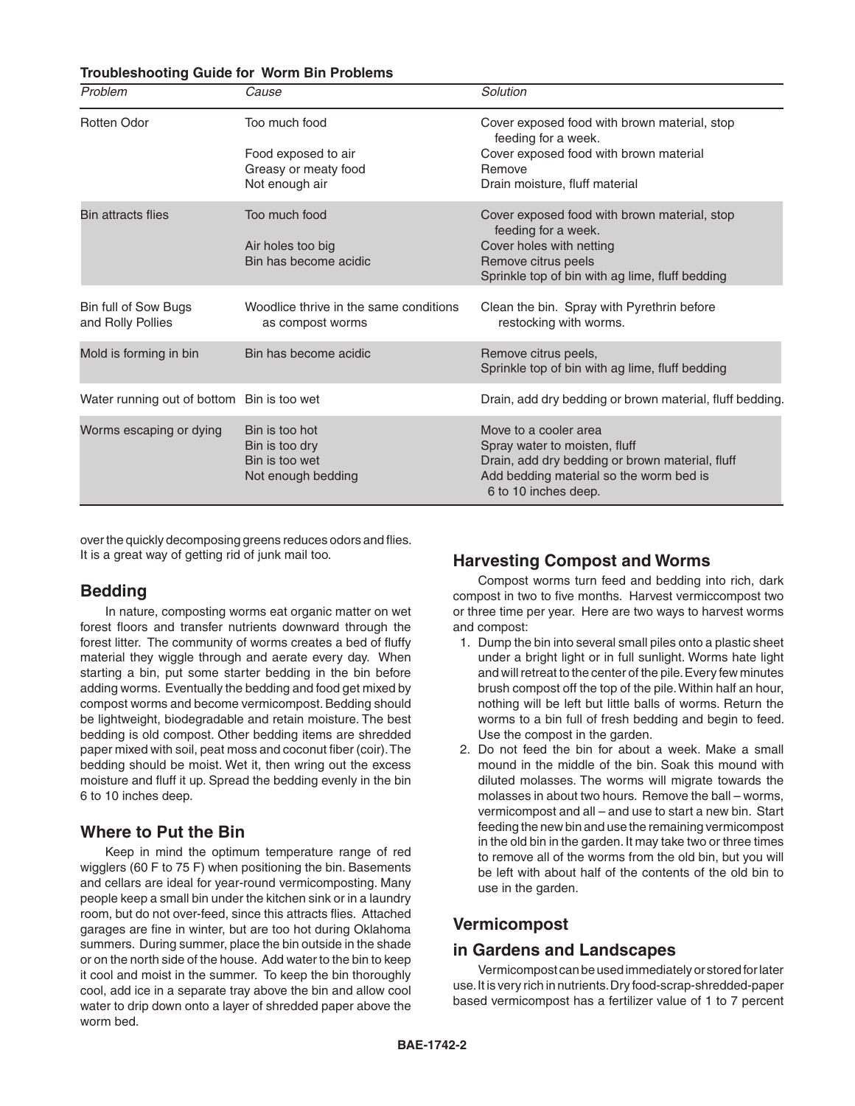#### **Troubleshooting Guide for Worm Bin Problems**

| Problem                                    | Cause                                                                    | Solution                                                                                                                                                                     |
|--------------------------------------------|--------------------------------------------------------------------------|------------------------------------------------------------------------------------------------------------------------------------------------------------------------------|
| <b>Rotten Odor</b>                         | Too much food                                                            | Cover exposed food with brown material, stop<br>feeding for a week.                                                                                                          |
|                                            | Food exposed to air<br>Greasy or meaty food<br>Not enough air            | Cover exposed food with brown material<br>Remove<br>Drain moisture, fluff material                                                                                           |
| <b>Bin attracts flies</b>                  | Too much food<br>Air holes too big<br>Bin has become acidic              | Cover exposed food with brown material, stop<br>feeding for a week.<br>Cover holes with netting<br>Remove citrus peels<br>Sprinkle top of bin with ag lime, fluff bedding    |
| Bin full of Sow Bugs<br>and Rolly Pollies  | Woodlice thrive in the same conditions<br>as compost worms               | Clean the bin. Spray with Pyrethrin before<br>restocking with worms.                                                                                                         |
| Mold is forming in bin                     | Bin has become acidic                                                    | Remove citrus peels,<br>Sprinkle top of bin with ag lime, fluff bedding                                                                                                      |
| Water running out of bottom Bin is too wet |                                                                          | Drain, add dry bedding or brown material, fluff bedding.                                                                                                                     |
| Worms escaping or dying                    | Bin is too hot<br>Bin is too dry<br>Bin is too wet<br>Not enough bedding | Move to a cooler area<br>Spray water to moisten, fluff<br>Drain, add dry bedding or brown material, fluff<br>Add bedding material so the worm bed is<br>6 to 10 inches deep. |

over the quickly decomposing greens reduces odors and flies. It is a great way of getting rid of junk mail too.

#### **Bedding**

 In nature, composting worms eat organic matter on wet forest floors and transfer nutrients downward through the forest litter. The community of worms creates a bed of fluffy material they wiggle through and aerate every day. When starting a bin, put some starter bedding in the bin before adding worms. Eventually the bedding and food get mixed by compost worms and become vermicompost. Bedding should be lightweight, biodegradable and retain moisture. The best bedding is old compost. Other bedding items are shredded paper mixed with soil, peat moss and coconut fiber (coir). The bedding should be moist. Wet it, then wring out the excess moisture and fluff it up. Spread the bedding evenly in the bin 6 to 10 inches deep.

#### **Where to Put the Bin**

 Keep in mind the optimum temperature range of red wigglers (60 F to 75 F) when positioning the bin. Basements and cellars are ideal for year-round vermicomposting. Many people keep a small bin under the kitchen sink or in a laundry room, but do not over-feed, since this attracts flies. Attached garages are fine in winter, but are too hot during Oklahoma summers. During summer, place the bin outside in the shade or on the north side of the house. Add water to the bin to keep it cool and moist in the summer. To keep the bin thoroughly cool, add ice in a separate tray above the bin and allow cool water to drip down onto a layer of shredded paper above the worm bed.

#### **Harvesting Compost and Worms**

 Compost worms turn feed and bedding into rich, dark compost in two to five months. Harvest vermiccompost two or three time per year. Here are two ways to harvest worms and compost:

- 1. Dump the bin into several small piles onto a plastic sheet under a bright light or in full sunlight. Worms hate light and will retreat to the center of the pile. Every few minutes brush compost off the top of the pile. Within half an hour, nothing will be left but little balls of worms. Return the worms to a bin full of fresh bedding and begin to feed. Use the compost in the garden.
- 2. Do not feed the bin for about a week. Make a small mound in the middle of the bin. Soak this mound with diluted molasses. The worms will migrate towards the molasses in about two hours. Remove the ball – worms, vermicompost and all – and use to start a new bin. Start feeding the new bin and use the remaining vermicompost in the old bin in the garden. It may take two or three times to remove all of the worms from the old bin, but you will be left with about half of the contents of the old bin to use in the garden.

#### **Vermicompost**

#### **in Gardens and Landscapes**

 Vermicompost can be used immediately or stored for later use. It is very rich in nutrients. Dry food-scrap-shredded-paper based vermicompost has a fertilizer value of 1 to 7 percent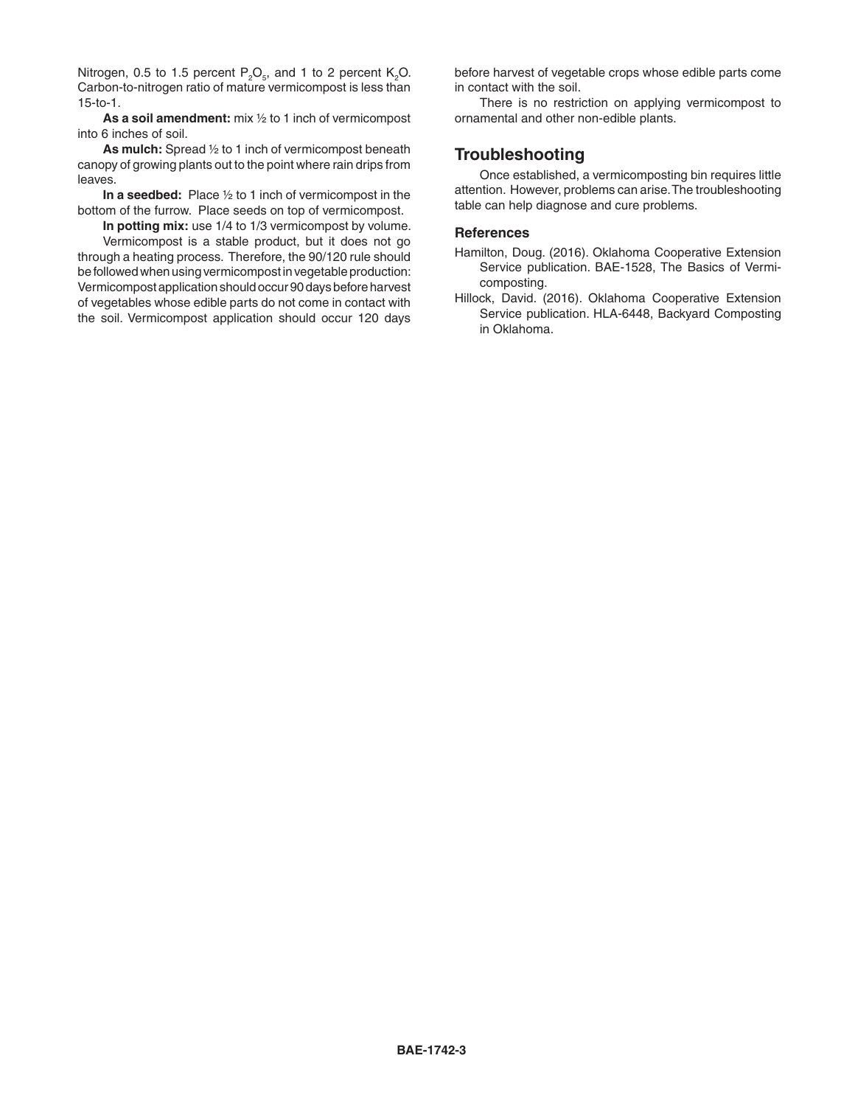Nitrogen, 0.5 to 1.5 percent  $P_2O_5$ , and 1 to 2 percent  $K_2O$ . Carbon-to-nitrogen ratio of mature vermicompost is less than 15-to-1.

 **As a soil amendment:** mix ½ to 1 inch of vermicompost into 6 inches of soil.

 **As mulch:** Spread ½ to 1 inch of vermicompost beneath canopy of growing plants out to the point where rain drips from leaves.

 **In a seedbed:** Place ½ to 1 inch of vermicompost in the bottom of the furrow. Place seeds on top of vermicompost.

**In potting mix:** use 1/4 to 1/3 vermicompost by volume. Vermicompost is a stable product, but it does not go through a heating process. Therefore, the 90/120 rule should

be followed when using vermicompost in vegetable production: Vermicompost application should occur 90 days before harvest of vegetables whose edible parts do not come in contact with the soil. Vermicompost application should occur 120 days before harvest of vegetable crops whose edible parts come in contact with the soil.

 There is no restriction on applying vermicompost to ornamental and other non-edible plants.

#### **Troubleshooting**

 Once established, a vermicomposting bin requires little attention. However, problems can arise. The troubleshooting table can help diagnose and cure problems.

#### **References**

- Hamilton, Doug. (2016). Oklahoma Cooperative Extension Service publication. BAE-1528, The Basics of Vermicomposting.
- Hillock, David. (2016). Oklahoma Cooperative Extension Service publication. HLA-6448, Backyard Composting in Oklahoma.